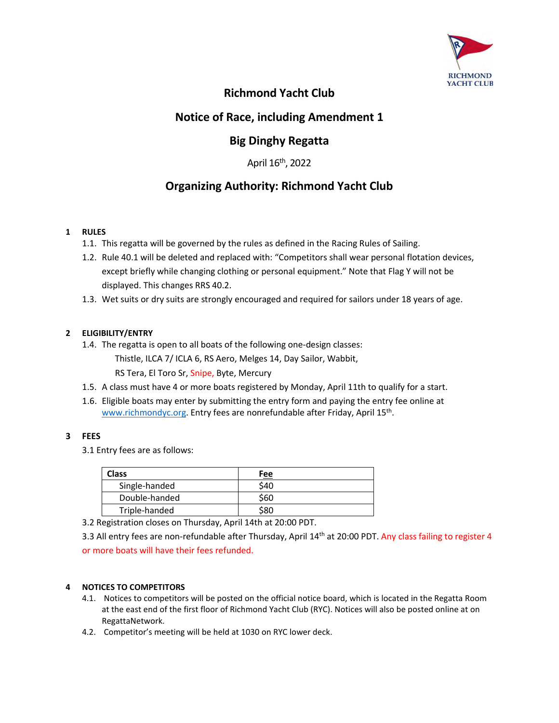

## **Richmond Yacht Club**

## **Notice of Race, including Amendment 1**

# **Big Dinghy Regatta**

April 16th, 2022

# **Organizing Authority: Richmond Yacht Club**

## **1 RULES**

- 1.1. This regatta will be governed by the rules as defined in the Racing Rules of Sailing.
- 1.2. Rule 40.1 will be deleted and replaced with: "Competitors shall wear personal flotation devices, except briefly while changing clothing or personal equipment." Note that Flag Y will not be displayed. This changes RRS 40.2.
- 1.3. Wet suits or dry suits are strongly encouraged and required for sailors under 18 years of age.

## **2 ELIGIBILITY/ENTRY**

- 1.4. The regatta is open to all boats of the following one-design classes:
	- Thistle, ILCA 7/ ICLA 6, RS Aero, Melges 14, Day Sailor, Wabbit, RS Tera, El Toro Sr, Snipe, Byte, Mercury
- 1.5. A class must have 4 or more boats registered by Monday, April 11th to qualify for a start.
- 1.6. Eligible boats may enter by submitting the entry form and paying the entry fee online at www.richmondyc.org. Entry fees are nonrefundable after Friday, April 15<sup>th</sup>.

## **3 FEES**

3.1 Entry fees are as follows:

| Class         | Fee  |
|---------------|------|
| Single-handed | \$40 |
| Double-handed | \$60 |
| Triple-handed |      |

3.2 Registration closes on Thursday, April 14th at 20:00 PDT.

3.3 All entry fees are non-refundable after Thursday, April 14<sup>th</sup> at 20:00 PDT. Any class failing to register 4

or more boats will have their fees refunded.

### **4 NOTICES TO COMPETITORS**

- 4.1. Notices to competitors will be posted on the official notice board, which is located in the Regatta Room at the east end of the first floor of Richmond Yacht Club (RYC). Notices will also be posted online at on RegattaNetwork.
- 4.2. Competitor's meeting will be held at 1030 on RYC lower deck.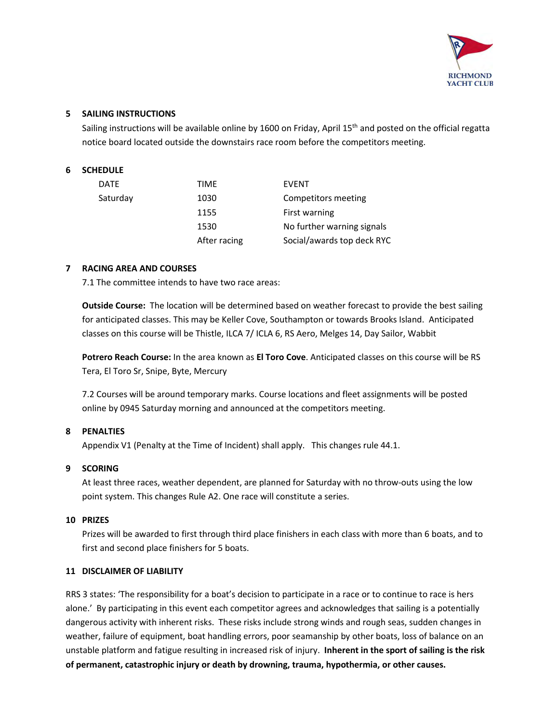

### **5 SAILING INSTRUCTIONS**

Sailing instructions will be available online by 1600 on Friday, April 15<sup>th</sup> and posted on the official regatta notice board located outside the downstairs race room before the competitors meeting.

## **6 SCHEDULE**

| <b>DATE</b> | TIME         | <b>EVENT</b>               |
|-------------|--------------|----------------------------|
| Saturday    | 1030         | Competitors meeting        |
|             | 1155         | First warning              |
|             | 1530         | No further warning signals |
|             | After racing | Social/awards top deck RYC |

### **7 RACING AREA AND COURSES**

7.1 The committee intends to have two race areas:

**Outside Course:** The location will be determined based on weather forecast to provide the best sailing for anticipated classes. This may be Keller Cove, Southampton or towards Brooks Island. Anticipated classes on this course will be Thistle, ILCA 7/ ICLA 6, RS Aero, Melges 14, Day Sailor, Wabbit

**Potrero Reach Course:** In the area known as **El Toro Cove**. Anticipated classes on this course will be RS Tera, El Toro Sr, Snipe, Byte, Mercury

7.2 Courses will be around temporary marks. Course locations and fleet assignments will be posted online by 0945 Saturday morning and announced at the competitors meeting.

#### **8 PENALTIES**

Appendix V1 (Penalty at the Time of Incident) shall apply. This changes rule 44.1.

#### **9 SCORING**

At least three races, weather dependent, are planned for Saturday with no throw-outs using the low point system. This changes Rule A2. One race will constitute a series.

#### **10 PRIZES**

Prizes will be awarded to first through third place finishers in each class with more than 6 boats, and to first and second place finishers for 5 boats.

#### **11 DISCLAIMER OF LIABILITY**

RRS 3 states: 'The responsibility for a boat's decision to participate in a race or to continue to race is hers alone.' By participating in this event each competitor agrees and acknowledges that sailing is a potentially dangerous activity with inherent risks. These risks include strong winds and rough seas, sudden changes in weather, failure of equipment, boat handling errors, poor seamanship by other boats, loss of balance on an unstable platform and fatigue resulting in increased risk of injury. **Inherent in the sport of sailing is the risk of permanent, catastrophic injury or death by drowning, trauma, hypothermia, or other causes.**